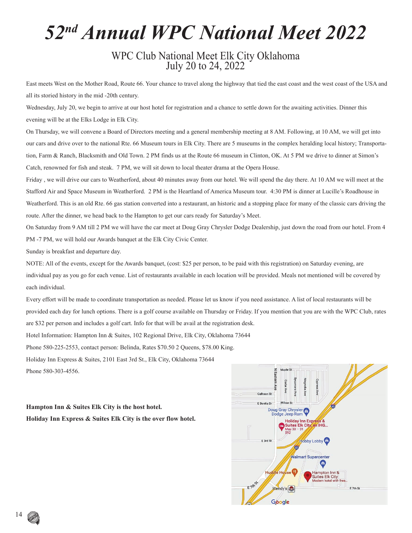## *52nd Annual WPC National Meet 2022*

# WPC Club National Meet Elk City Oklahoma July 20 to 24, 2022

East meets West on the Mother Road, Route 66. Your chance to travel along the highway that tied the east coast and the west coast of the USA and all its storied history in the mid -20th century.

Wednesday, July 20, we begin to arrive at our host hotel for registration and a chance to settle down for the awaiting activities. Dinner this evening will be at the Elks Lodge in Elk City.

On Thursday, we will convene a Board of Directors meeting and a general membership meeting at 8 AM. Following, at 10 AM, we will get into our cars and drive over to the national Rte. 66 Museum tours in Elk City. There are 5 museums in the complex heralding local history; Transportation, Farm & Ranch, Blacksmith and Old Town. 2 PM finds us at the Route 66 museum in Clinton, OK. At 5 PM we drive to dinner at Simon's Catch, renowned for fish and steak. 7 PM, we will sit down to local theater drama at the Opera House.

Friday , we will drive our cars to Weatherford, about 40 minutes away from our hotel. We will spend the day there. At 10 AM we will meet at the Stafford Air and Space Museum in Weatherford. 2 PM is the Heartland of America Museum tour. 4:30 PM is dinner at Lucille's Roadhouse in Weatherford. This is an old Rte. 66 gas station converted into a restaurant, an historic and a stopping place for many of the classic cars driving the route. After the dinner, we head back to the Hampton to get our cars ready for Saturday's Meet.

On Saturday from 9 AM till 2 PM we will have the car meet at Doug Gray Chrysler Dodge Dealership, just down the road from our hotel. From 4 PM -7 PM, we will hold our Awards banquet at the Elk City Civic Center.

Sunday is breakfast and departure day.

NOTE: All of the events, except for the Awards banquet, (cost: \$25 per person, to be paid with this registration) on Saturday evening, are individual pay as you go for each venue. List of restaurants available in each location will be provided. Meals not mentioned will be covered by each individual.

Every effort will be made to coordinate transportation as needed. Please let us know if you need assistance. A list of local restaurants will be provided each day for lunch options. There is a golf course available on Thursday or Friday. If you mention that you are with the WPC Club, rates are \$32 per person and includes a golf cart. Info for that will be avail at the registration desk.

Hotel Information: Hampton Inn & Suites, 102 Regional Drive, Elk City, Oklahoma 73644

Phone 580-225-2553, contact person: Belinda, Rates \$70.50 2 Queens, \$78.00 King.

Holiday Inn Express & Suites, 2101 East 3rd St., Elk City, Oklahoma 73644

Phone 580-303-4556.

**Hampton Inn & Suites Elk City is the host hotel. Holiday Inn Express & Suites Elk City is the over flow hotel.**



14